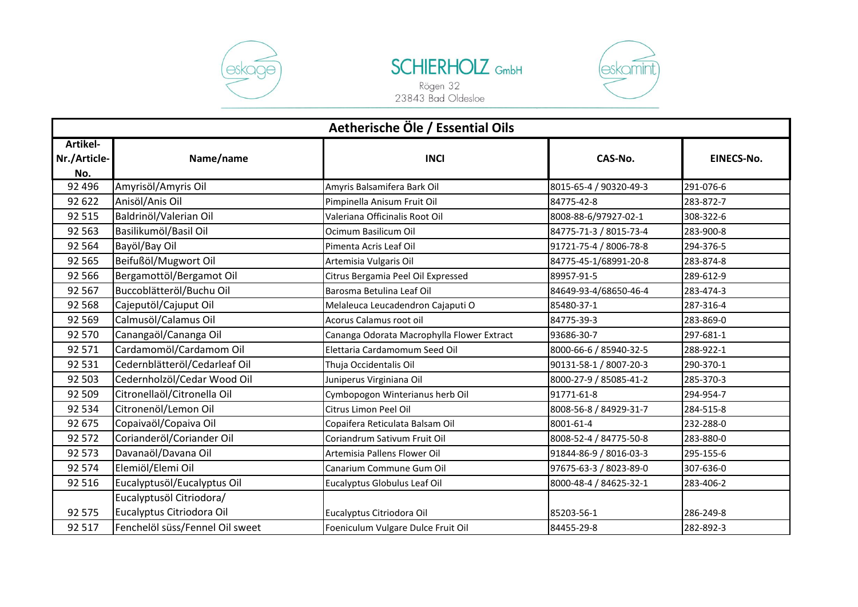



Rögen 32<br>23843 Bad Oldesloe



| Aetherische Öle / Essential Oils       |                                 |                                            |                        |                   |
|----------------------------------------|---------------------------------|--------------------------------------------|------------------------|-------------------|
| <b>Artikel-</b><br>Nr./Article-<br>No. | Name/name                       | <b>INCI</b>                                | CAS-No.                | <b>EINECS-No.</b> |
| 92 4 96                                | Amyrisöl/Amyris Oil             | Amyris Balsamifera Bark Oil                | 8015-65-4 / 90320-49-3 | 291-076-6         |
| 92 622                                 | Anisöl/Anis Oil                 | Pimpinella Anisum Fruit Oil                | 84775-42-8             | 283-872-7         |
| 92 515                                 | Baldrinöl/Valerian Oil          | Valeriana Officinalis Root Oil             | 8008-88-6/97927-02-1   | 308-322-6         |
| 92 5 63                                | Basilikumöl/Basil Oil           | Ocimum Basilicum Oil                       | 84775-71-3 / 8015-73-4 | 283-900-8         |
| 92 5 64                                | Bayöl/Bay Oil                   | Pimenta Acris Leaf Oil                     | 91721-75-4 / 8006-78-8 | 294-376-5         |
| 92 565                                 | Beifußöl/Mugwort Oil            | Artemisia Vulgaris Oil                     | 84775-45-1/68991-20-8  | 283-874-8         |
| 92 5 66                                | Bergamottöl/Bergamot Oil        | Citrus Bergamia Peel Oil Expressed         | 89957-91-5             | 289-612-9         |
| 92 5 67                                | Buccoblätteröl/Buchu Oil        | Barosma Betulina Leaf Oil                  | 84649-93-4/68650-46-4  | 283-474-3         |
| 92 5 68                                | Cajeputöl/Cajuput Oil           | Melaleuca Leucadendron Cajaputi O          | 85480-37-1             | 287-316-4         |
| 92 5 69                                | Calmusöl/Calamus Oil            | Acorus Calamus root oil                    | 84775-39-3             | 283-869-0         |
| 92 570                                 | Canangaöl/Cananga Oil           | Cananga Odorata Macrophylla Flower Extract | 93686-30-7             | 297-681-1         |
| 92 571                                 | Cardamomöl/Cardamom Oil         | Elettaria Cardamomum Seed Oil              | 8000-66-6 / 85940-32-5 | 288-922-1         |
| 92 531                                 | Cedernblätteröl/Cedarleaf Oil   | Thuja Occidentalis Oil                     | 90131-58-1 / 8007-20-3 | 290-370-1         |
| 92 503                                 | Cedernholzöl/Cedar Wood Oil     | Juniperus Virginiana Oil                   | 8000-27-9 / 85085-41-2 | 285-370-3         |
| 92 509                                 | Citronellaöl/Citronella Oil     | Cymbopogon Winterianus herb Oil            | 91771-61-8             | 294-954-7         |
| 92 534                                 | Citronenöl/Lemon Oil            | Citrus Limon Peel Oil                      | 8008-56-8 / 84929-31-7 | 284-515-8         |
| 92 675                                 | Copaivaöl/Copaiva Oil           | Copaifera Reticulata Balsam Oil            | 8001-61-4              | 232-288-0         |
| 92 572                                 | Corianderöl/Coriander Oil       | Coriandrum Sativum Fruit Oil               | 8008-52-4 / 84775-50-8 | 283-880-0         |
| 92 573                                 | Davanaöl/Davana Oil             | Artemisia Pallens Flower Oil               | 91844-86-9 / 8016-03-3 | 295-155-6         |
| 92 574                                 | Elemiöl/Elemi Oil               | Canarium Commune Gum Oil                   | 97675-63-3 / 8023-89-0 | 307-636-0         |
| 92 516                                 | Eucalyptusöl/Eucalyptus Oil     | Eucalyptus Globulus Leaf Oil               | 8000-48-4 / 84625-32-1 | 283-406-2         |
|                                        | Eucalyptusöl Citriodora/        |                                            |                        |                   |
| 92 575                                 | Eucalyptus Citriodora Oil       | Eucalyptus Citriodora Oil                  | 85203-56-1             | 286-249-8         |
| 92 517                                 | Fenchelöl süss/Fennel Oil sweet | Foeniculum Vulgare Dulce Fruit Oil         | 84455-29-8             | 282-892-3         |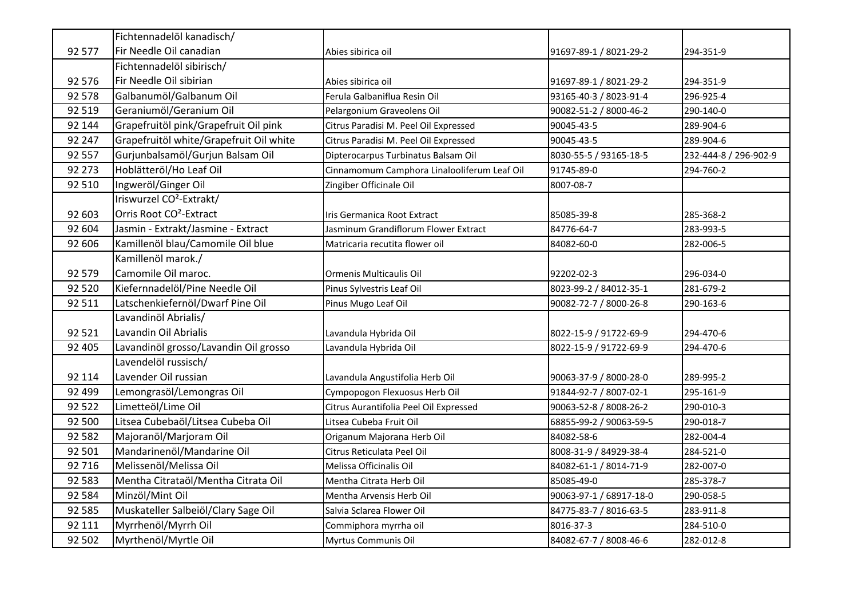|         | Fichtennadelöl kanadisch/               |                                             |                         |                       |
|---------|-----------------------------------------|---------------------------------------------|-------------------------|-----------------------|
| 92 577  | Fir Needle Oil canadian                 | Abies sibirica oil                          | 91697-89-1 / 8021-29-2  | 294-351-9             |
|         | Fichtennadelöl sibirisch/               |                                             |                         |                       |
| 92 576  | Fir Needle Oil sibirian                 | Abies sibirica oil                          | 91697-89-1 / 8021-29-2  | 294-351-9             |
| 92 578  | Galbanumöl/Galbanum Oil                 | Ferula Galbaniflua Resin Oil                | 93165-40-3 / 8023-91-4  | 296-925-4             |
| 92 519  | Geraniumöl/Geranium Oil                 | Pelargonium Graveolens Oil                  | 90082-51-2 / 8000-46-2  | 290-140-0             |
| 92 144  | Grapefruitöl pink/Grapefruit Oil pink   | Citrus Paradisi M. Peel Oil Expressed       | 90045-43-5              | 289-904-6             |
| 92 247  | Grapefruitöl white/Grapefruit Oil white | Citrus Paradisi M. Peel Oil Expressed       | 90045-43-5              | 289-904-6             |
| 92 557  | Gurjunbalsamöl/Gurjun Balsam Oil        | Dipterocarpus Turbinatus Balsam Oil         | 8030-55-5 / 93165-18-5  | 232-444-8 / 296-902-9 |
| 92 273  | Hoblätteröl/Ho Leaf Oil                 | Cinnamomum Camphora Linalooliferum Leaf Oil | 91745-89-0              | 294-760-2             |
| 92 510  | Ingweröl/Ginger Oil                     | Zingiber Officinale Oil                     | 8007-08-7               |                       |
|         | Iriswurzel CO <sup>2</sup> -Extrakt/    |                                             |                         |                       |
| 92 603  | Orris Root CO <sup>2</sup> -Extract     | Iris Germanica Root Extract                 | 85085-39-8              | 285-368-2             |
| 92 604  | Jasmin - Extrakt/Jasmine - Extract      | Jasminum Grandiflorum Flower Extract        | 84776-64-7              | 283-993-5             |
| 92 606  | Kamillenöl blau/Camomile Oil blue       | Matricaria recutita flower oil              | 84082-60-0              | 282-006-5             |
|         | Kamillenöl marok./                      |                                             |                         |                       |
| 92 579  | Camomile Oil maroc.                     | Ormenis Multicaulis Oil                     | 92202-02-3              | 296-034-0             |
| 92 5 20 | Kiefernnadelöl/Pine Needle Oil          | Pinus Sylvestris Leaf Oil                   | 8023-99-2 / 84012-35-1  | 281-679-2             |
| 92 511  | Latschenkiefernöl/Dwarf Pine Oil        | Pinus Mugo Leaf Oil                         | 90082-72-7 / 8000-26-8  | 290-163-6             |
|         | Lavandinöl Abrialis/                    |                                             |                         |                       |
| 92 5 21 | Lavandin Oil Abrialis                   | Lavandula Hybrida Oil                       | 8022-15-9 / 91722-69-9  | 294-470-6             |
| 92 405  | Lavandinöl grosso/Lavandin Oil grosso   | Lavandula Hybrida Oil                       | 8022-15-9 / 91722-69-9  | 294-470-6             |
|         | Lavendelöl russisch/                    |                                             |                         |                       |
| 92 114  | Lavender Oil russian                    | Lavandula Angustifolia Herb Oil             | 90063-37-9 / 8000-28-0  | 289-995-2             |
| 92 499  | Lemongrasöl/Lemongras Oil               | Cympopogon Flexuosus Herb Oil               | 91844-92-7 / 8007-02-1  | 295-161-9             |
| 92 522  | Limetteöl/Lime Oil                      | Citrus Aurantifolia Peel Oil Expressed      | 90063-52-8 / 8008-26-2  | 290-010-3             |
| 92 500  | Litsea Cubebaöl/Litsea Cubeba Oil       | Litsea Cubeba Fruit Oil                     | 68855-99-2 / 90063-59-5 | 290-018-7             |
| 92 582  | Majoranöl/Marjoram Oil                  | Origanum Majorana Herb Oil                  | 84082-58-6              | 282-004-4             |
| 92 501  | Mandarinenöl/Mandarine Oil              | Citrus Reticulata Peel Oil                  | 8008-31-9 / 84929-38-4  | 284-521-0             |
| 92 716  | Melissenöl/Melissa Oil                  | Melissa Officinalis Oil                     | 84082-61-1 / 8014-71-9  | 282-007-0             |
| 92 583  | Mentha Citrataöl/Mentha Citrata Oil     | Mentha Citrata Herb Oil                     | 85085-49-0              | 285-378-7             |
| 92 5 84 | Minzöl/Mint Oil                         | Mentha Arvensis Herb Oil                    | 90063-97-1 / 68917-18-0 | 290-058-5             |
| 92 585  | Muskateller Salbeiöl/Clary Sage Oil     | Salvia Sclarea Flower Oil                   | 84775-83-7 / 8016-63-5  | 283-911-8             |
| 92 111  | Myrrhenöl/Myrrh Oil                     | Commiphora myrrha oil                       | 8016-37-3               | 284-510-0             |
| 92 502  | Myrthenöl/Myrtle Oil                    | <b>Myrtus Communis Oil</b>                  | 84082-67-7 / 8008-46-6  | 282-012-8             |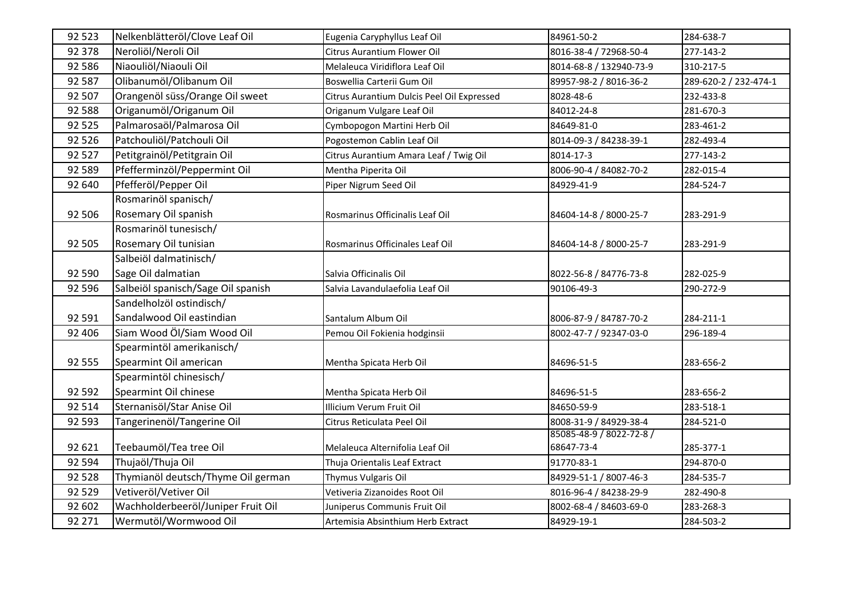| 92 5 23 | Nelkenblätteröl/Clove Leaf Oil     | Eugenia Caryphyllus Leaf Oil               | 84961-50-2               | 284-638-7             |
|---------|------------------------------------|--------------------------------------------|--------------------------|-----------------------|
| 92 378  | Neroliöl/Neroli Oil                | Citrus Aurantium Flower Oil                | 8016-38-4 / 72968-50-4   | 277-143-2             |
| 92 586  | Niaouliöl/Niaouli Oil              | Melaleuca Viridiflora Leaf Oil             | 8014-68-8 / 132940-73-9  | 310-217-5             |
| 92 587  | Olibanumöl/Olibanum Oil            | Boswellia Carterii Gum Oil                 | 89957-98-2 / 8016-36-2   | 289-620-2 / 232-474-1 |
| 92 507  | Orangenöl süss/Orange Oil sweet    | Citrus Aurantium Dulcis Peel Oil Expressed | 8028-48-6                | 232-433-8             |
| 92 5 88 | Origanumöl/Origanum Oil            | Origanum Vulgare Leaf Oil                  | 84012-24-8               | 281-670-3             |
| 92 5 25 | Palmarosaöl/Palmarosa Oil          | Cymbopogon Martini Herb Oil                | 84649-81-0               | 283-461-2             |
| 92 5 26 | Patchouliöl/Patchouli Oil          | Pogostemon Cablin Leaf Oil                 | 8014-09-3 / 84238-39-1   | 282-493-4             |
| 92 5 27 | Petitgrainöl/Petitgrain Oil        | Citrus Aurantium Amara Leaf / Twig Oil     | 8014-17-3                | 277-143-2             |
| 92 589  | Pfefferminzöl/Peppermint Oil       | Mentha Piperita Oil                        | 8006-90-4 / 84082-70-2   | 282-015-4             |
| 92 640  | Pfefferöl/Pepper Oil               | Piper Nigrum Seed Oil                      | 84929-41-9               | 284-524-7             |
|         | Rosmarinöl spanisch/               |                                            |                          |                       |
| 92 506  | Rosemary Oil spanish               | Rosmarinus Officinalis Leaf Oil            | 84604-14-8 / 8000-25-7   | 283-291-9             |
|         | Rosmarinöl tunesisch/              |                                            |                          |                       |
| 92 505  | Rosemary Oil tunisian              | Rosmarinus Officinales Leaf Oil            | 84604-14-8 / 8000-25-7   | 283-291-9             |
|         | Salbeiöl dalmatinisch/             |                                            |                          |                       |
| 92 590  | Sage Oil dalmatian                 | Salvia Officinalis Oil                     | 8022-56-8 / 84776-73-8   | 282-025-9             |
| 92 5 96 | Salbeiöl spanisch/Sage Oil spanish | Salvia Lavandulaefolia Leaf Oil            | 90106-49-3               | 290-272-9             |
|         | Sandelholzöl ostindisch/           |                                            |                          |                       |
| 92 591  | Sandalwood Oil eastindian          | Santalum Album Oil                         | 8006-87-9 / 84787-70-2   | 284-211-1             |
| 92 406  | Siam Wood Öl/Siam Wood Oil         | Pemou Oil Fokienia hodginsii               | 8002-47-7 / 92347-03-0   | 296-189-4             |
|         | Spearmintöl amerikanisch/          |                                            |                          |                       |
| 92 555  | Spearmint Oil american             | Mentha Spicata Herb Oil                    | 84696-51-5               | 283-656-2             |
|         | Spearmintöl chinesisch/            |                                            |                          |                       |
| 92 592  | Spearmint Oil chinese              | Mentha Spicata Herb Oil                    | 84696-51-5               | 283-656-2             |
| 92 514  | Sternanisöl/Star Anise Oil         | Illicium Verum Fruit Oil                   | 84650-59-9               | 283-518-1             |
| 92 593  | Tangerinenöl/Tangerine Oil         | Citrus Reticulata Peel Oil                 | 8008-31-9 / 84929-38-4   | 284-521-0             |
|         |                                    |                                            | 85085-48-9 / 8022-72-8 / |                       |
| 92 621  | Teebaumöl/Tea tree Oil             | Melaleuca Alternifolia Leaf Oil            | 68647-73-4               | 285-377-1             |
| 92 594  | Thujaöl/Thuja Oil                  | Thuja Orientalis Leaf Extract              | 91770-83-1               | 294-870-0             |
| 92 5 28 | Thymianöl deutsch/Thyme Oil german | Thymus Vulgaris Oil                        | 84929-51-1 / 8007-46-3   | 284-535-7             |
| 92 5 29 | Vetiveröl/Vetiver Oil              | Vetiveria Zizanoides Root Oil              | 8016-96-4 / 84238-29-9   | 282-490-8             |
| 92 602  | Wachholderbeeröl/Juniper Fruit Oil | Juniperus Communis Fruit Oil               | 8002-68-4 / 84603-69-0   | 283-268-3             |
| 92 271  | Wermutöl/Wormwood Oil              | Artemisia Absinthium Herb Extract          | 84929-19-1               | 284-503-2             |